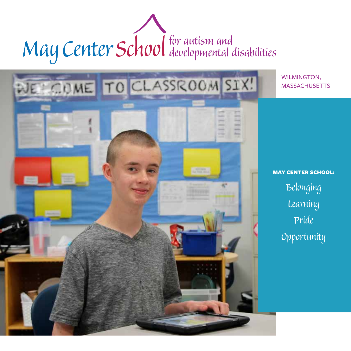# May Center School for autism and

DE COME TO CLASSROOM SIX!

WILMINGTON, **MASSACHUSETTS** 

MAY CENTER SCHOOL: *Belonging Learning Pride Opportunity*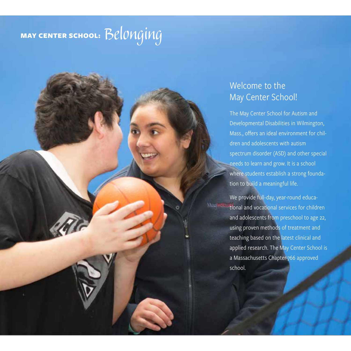# MAY CENTER SCHOOL: *Belonging*

## Welcome to the May Center School!

The May Center School for Autism and Developmental Disabilities in Wilmington, Mass., offers an ideal environment for children and adolescents with autism spectrum disorder (ASD) and other special needs to learn and grow. It is a school where students establish a strong foundation to build a meaningful life.

We provide full-day, year-round educa-**Muglesso** tional and vocational services for children and adolescents from preschool to age 22, using proven methods of treatment and teaching based on the latest clinical and applied research. The May Center School is a Massachusetts Chapter-766 approved school.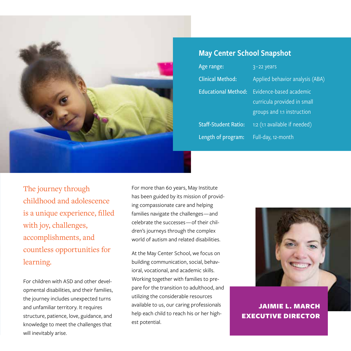

#### May Center School Snapshot

Age range: 3-22 years Educational Method: Evidence-based academic Staff-Student Ratio: 1:2 (1:1 available if needed) Length of program: Full-day, 12-month

Clinical Method: Applied behavior analysis (ABA) curricula provided in small groups and 1:1 instruction

The journey through childhood and adolescence is a unique experience, filled with joy, challenges, accomplishments, and countless opportunities for learning.

For children with ASD and other developmental disabilities, and their families, the journey includes unexpected turns and unfamiliar territory. It requires structure, patience, love, guidance, and knowledge to meet the challenges that will inevitably arise.

For more than 60 years, May Institute has been guided by its mission of providing compassionate care and helping families navigate the challenges — and celebrate the successes — of their children's journeys through the complex world of autism and related disabilities.

At the May Center School, we focus on building communication, social, behavioral, vocational, and academic skills. Working together with families to prepare for the transition to adulthood, and utilizing the considerable resources available to us, our caring professionals help each child to reach his or her highest potential.



JAIMIE L. MARCH EXECUTIVE DIRECTOR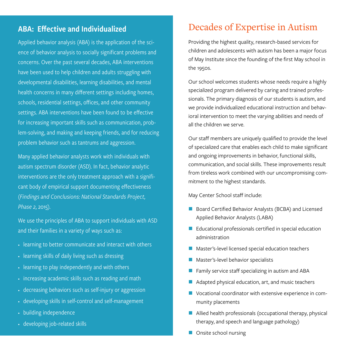#### ABA: Effective and Individualized

Applied behavior analysis (ABA) is the application of the science of behavior analysis to socially significant problems and concerns. Over the past several decades, ABA interventions have been used to help children and adults struggling with developmental disabilities, learning disabilities, and mental health concerns in many different settings including homes, schools, residential settings, offices, and other community settings. ABA interventions have been found to be effective for increasing important skills such as communication, problem-solving, and making and keeping friends, and for reducing problem behavior such as tantrums and aggression.

Many applied behavior analysts work with individuals with autism spectrum disorder (ASD). In fact, behavior analytic interventions are the only treatment approach with a significant body of empirical support documenting effectiveness (*Findings and Conclusions: National Standards Project, Phase 2*, 2015).

We use the principles of ABA to support individuals with ASD and their families in a variety of ways such as:

- learning to better communicate and interact with others
- learning skills of daily living such as dressing
- learning to play independently and with others
- increasing academic skills such as reading and math
- decreasing behaviors such as self-injury or aggression
- developing skills in self-control and self-management
- building independence
- developing job-related skills

#### Decades of Expertise in Autism

Providing the highest quality, research-based services for children and adolescents with autism has been a major focus of May Institute since the founding of the first May school in the 1950s.

Our school welcomes students whose needs require a highly specialized program delivered by caring and trained professionals. The primary diagnosis of our students is autism, and we provide individualized educational instruction and behavioral intervention to meet the varying abilities and needs of all the children we serve.

Our staff members are uniquely qualified to provide the level of specialized care that enables each child to make significant and ongoing improvements in behavior, functional skills, communication, and social skills. These improvements result from tireless work combined with our uncompromising commitment to the highest standards.

May Center School staff include:

- Board Certified Behavior Analysts (BCBA) and Licensed Applied Behavior Analysts (LABA)
- **Educational professionals certified in special education** administration
- Master's-level licensed special education teachers
- Master's-level behavior specialists
- Family service staff specializing in autism and ABA
- Adapted physical education, art, and music teachers
- Vocational coordinator with extensive experience in community placements
- Allied health professionals (occupational therapy, physical therapy, and speech and language pathology)
- Onsite school nursing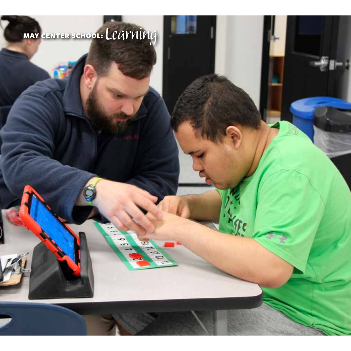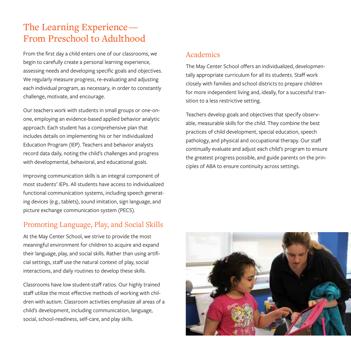## The Learning Experience — From Preschool to Adulthood

From the first day a child enters one of our classrooms, we begin to carefully create a personal learning experience, assessing needs and developing specific goals and objectives. We regularly measure progress, re-evaluating and adjusting each individual program, as necessary, in order to constantly challenge, motivate, and encourage.

Our teachers work with students in small groups or one-onone, employing an evidence-based applied behavior analytic approach. Each student has a comprehensive plan that includes details on implementing his or her Individualized Education Program (IEP). Teachers and behavior analysts record data daily, noting the child's challenges and progress with developmental, behavioral, and educational goals.

Improving communication skills is an integral component of most students' IEPs. All students have access to individualized functional communication systems, including speech generating devices (e.g., tablets), sound imitation, sign language, and picture exchange communication system (PECS).

#### Promoting Language, Play, and Social Skills

At the May Center School, we strive to provide the most meaningful environment for children to acquire and expand their language, play, and social skills. Rather than using artificial settings, staff use the natural context of play, social interactions, and daily routines to develop these skills.

Classrooms have low student-staff ratios. Our highly trained staff utilize the most effective methods of working with children with autism. Classroom activities emphasize all areas of a child's development, including communication, language, social, school-readiness, self-care, and play skills.

#### Academics

The May Center School offers an individualized, developmentally appropriate curriculum for all its students. Staff work closely with families and school districts to prepare children for more independent living and, ideally, for a successful transition to a less restrictive setting.

Teachers develop goals and objectives that specify observable, measurable skills for the child. They combine the best practices of child development, special education, speech pathology, and physical and occupational therapy. Our staff continually evaluate and adjust each child's program to ensure the greatest progress possible, and guide parents on the principles of ABA to ensure continuity across settings.

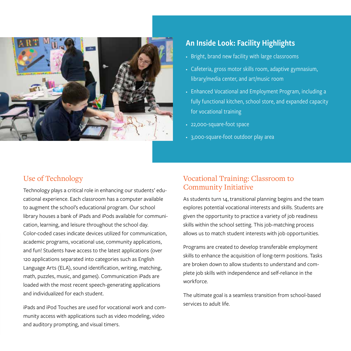

#### An Inside Look: Facility Highlights

- Bright, brand new facility with large classrooms
- Cafeteria, gross motor skills room, adaptive gymnasium, library/media center, and art/music room
- Enhanced Vocational and Employment Program, including a fully functional kitchen, school store, and expanded capacity for vocational training
- 22,000-square-foot space
- 3,000-square-foot outdoor play area

#### Use of Technology

Technology plays a critical role in enhancing our students' educational experience. Each classroom has a computer available to augment the school's educational program. Our school library houses a bank of iPads and iPods available for communication, learning, and leisure throughout the school day. Color-coded cases indicate devices utilized for communication, academic programs, vocational use, community applications, and fun! Students have access to the latest applications (over 120 applications separated into categories such as English Language Arts (ELA), sound identification, writing, matching, math, puzzles, music, and games). Communication iPads are loaded with the most recent speech-generating applications and individualized for each student.

iPads and iPod Touches are used for vocational work and community access with applications such as video modeling, video and auditory prompting, and visual timers.

#### Vocational Training: Classroom to Community Initiative

As students turn 14, transitional planning begins and the team explores potential vocational interests and skills. Students are given the opportunity to practice a variety of job readiness skills within the school setting. This job-matching process allows us to match student interests with job opportunities.

Programs are created to develop transferable employment skills to enhance the acquisition of long-term positions. Tasks are broken down to allow students to understand and complete job skills with independence and self-reliance in the workforce.

The ultimate goal is a seamless transition from school-based services to adult life.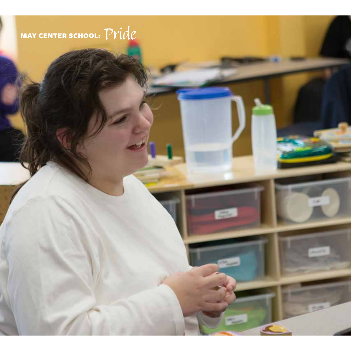# MAY CENTER SCHOOL: *Pride*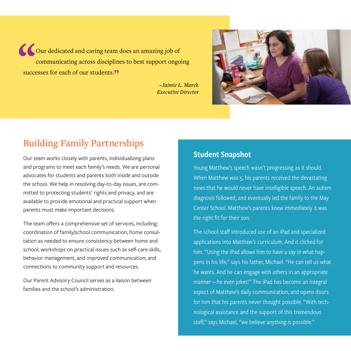Our dedicated and caring team does an amazing job of communicating across disciplines to best support ongoing successes for each of our students."

> *– Jaimie L. March Executive Director*



## Building Family Partnerships

Our team works closely with parents, individualizing plans and programs to meet each family's needs. We are personal advocates for students and parents both inside and outside the school. We help in resolving day-to-day issues, are committed to protecting students' rights and privacy, and are available to provide emotional and practical support when parents must make important decisions.

The team offers a comprehensive set of services, including: coordination of family/school communication; home consultation as needed to ensure consistency between home and school; workshops on practical issues such as self-care skills, behavior management, and improved communication; and connections to community support and resources.

Our Parent Advisory Council serves as a liaison between families and the school's administration.

#### Student Snapshot

Young Matthew's speech wasn't progressing as it should. When Matthew was 5, his parents received the devastating news that he would never have intelligible speech. An autism diagnosis followed, and eventually led the family to the May Center School. Matthew's parents knew immediately it was the right fit for their son.

The school staff introduced use of an iPad and specialized applications into Matthew's curriculum. And it clicked for him. "Using the iPad allows him to have a say in what happens in his life," says his father, Michael. "He can tell us what he wants. And he can engage with others in an appropriate manner—he even jokes!" The iPad has become an integral aspect of Matthew's daily communication, and opens doors for him that his parents never thought possible. "With technological assistance and the support of this tremendous staff," says Michael, "we believe anything is possible."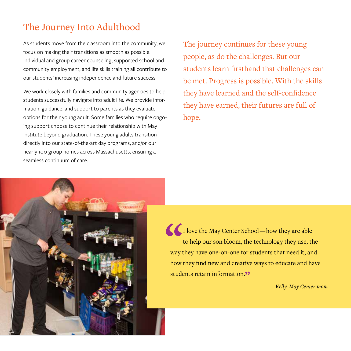## The Journey Into Adulthood

As students move from the classroom into the community, we focus on making their transitions as smooth as possible. Individual and group career counseling, supported school and community employment, and life skills training all contribute to our students' increasing independence and future success.

We work closely with families and community agencies to help students successfully navigate into adult life. We provide information, guidance, and support to parents as they evaluate options for their young adult. Some families who require ongoing support choose to continue their relationship with May Institute beyond graduation. These young adults transition directly into our state-of-the-art day programs, and/or our nearly 100 group homes across Massachusetts, ensuring a seamless continuum of care.

The journey continues for these young people, as do the challenges. But our students learn firsthand that challenges can be met. Progress is possible. With the skills they have learned and the self-confidence they have earned, their futures are full of hope.



I love the May Center School—how they are able to help our son bloom, the technology they use, the way they have one-on-one for students that need it, and how they find new and creative ways to educate and have students retain information.<sup>22</sup>

*– Kelly, May Center mom*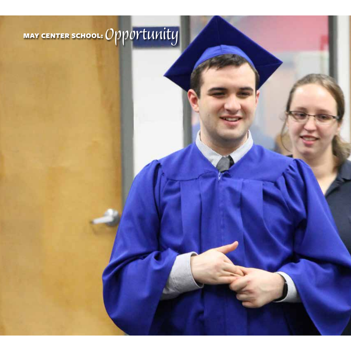# MAY CENTER SCHOOL: *Opportunity*